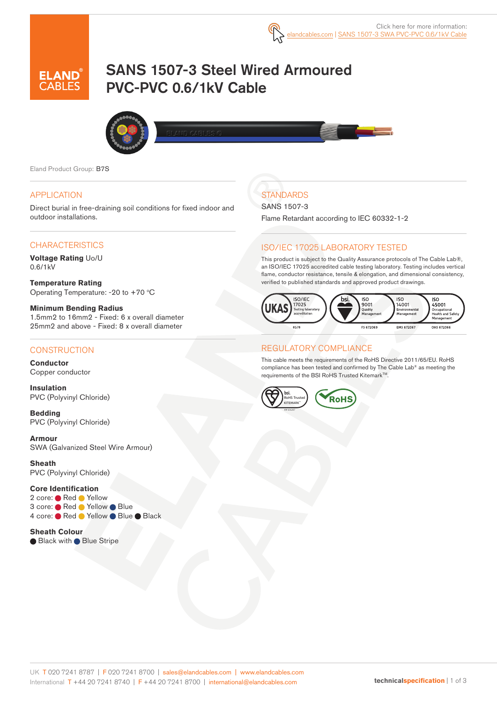

# SANS 1507-3 Steel Wired Armoured PVC-PVC 0.6/1kV Cable



Eland Product Group: B7S

#### APPLICATION

Direct burial in free-draining soil conditions for fixed indoor and outdoor installations.

#### **CHARACTERISTICS**

**Voltage Rating** Uo/U 0.6/1kV

**Temperature Rating**  Operating Temperature: -20 to +70  $°C$ 

**Minimum Bending Radius**  1.5mm2 to 16mm2 - Fixed: 6 x overall diameter 25mm2 and above - Fixed: 8 x overall diameter

#### **CONSTRUCTION**

**Conductor** Copper conductor

**Insulation** PVC (Polyvinyl Chloride)

**Bedding** PVC (Polyvinyl Chloride)

**Armour** SWA (Galvanized Steel Wire Armour)

**Sheath** PVC (Polyvinyl Chloride)

#### **Core Identification**

2 core: Red Yellow 3 core: ● Red ● Yellow ● Blue 4 core: Red Yellow Blue Black

**Sheath Colour** ● Black with ● Blue Stripe

# **STANDARDS**

#### SANS 1507-3

Flame Retardant according to IEC 60332-1-2

#### ISO/IEC 17025 LABORATORY TESTED

This product is subject to the Quality Assurance protocols of The Cable Lab®, an ISO/IEC 17025 accredited cable testing laboratory. Testing includes vertical flame, conductor resistance, tensile & elongation, and dimensional consistency, verified to published standards and approved product drawings.



#### REGULATORY COMPLIANCE

This cable meets the requirements of the RoHS Directive 2011/65/EU. RoHS compliance has been tested and confirmed by The Cable Lab® as meeting the requirements of the BSI RoHS Trusted Kitemark™.

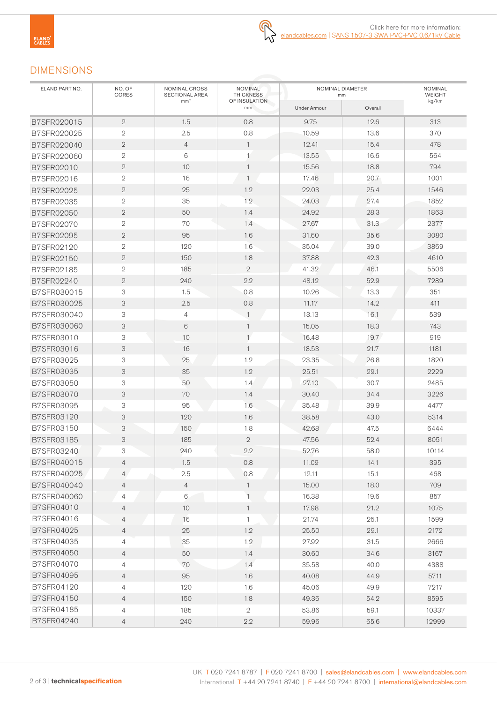### DIMENSIONS

| ELAND PART NO.     | NO. OF<br>CORES | NOMINAL CROSS<br><b>SECTIONAL AREA</b> | NOMINAL<br><b>THICKNESS</b> | NOMINAL DIAMETER<br>mm | NOMINAL<br><b>WEIGHT</b> |       |  |
|--------------------|-----------------|----------------------------------------|-----------------------------|------------------------|--------------------------|-------|--|
|                    |                 | mm <sup>2</sup>                        | OF INSULATION<br>mm.        | <b>Under Armour</b>    | Overall                  | kg/km |  |
| B7SFR020015        | $\mathbf{2}$    | 1.5                                    | 0.8                         | 9.75                   | 12.6                     | 313   |  |
| B7SFR020025        | $\mathbf{2}$    | 2.5                                    | 0.8                         | 10.59                  | 13.6                     | 370   |  |
| B7SFR020040        | $\mathbf{2}$    | $\overline{4}$                         | $\mathbf{1}$                | 12.41                  | 15.4                     | 478   |  |
| B7SFR020060        | $\overline{2}$  | 6                                      | $\mathbf{1}$                | 13.55                  | 16.6                     | 564   |  |
| <b>B7SFR02010</b>  | $\overline{2}$  | 10                                     | $\mathbf{1}$                | 15.56                  | 18.8                     | 794   |  |
| B7SFR02016         | $\mathbf{2}$    | 16                                     | $\mathbf{1}$                | 17.46                  | 20.7                     | 1001  |  |
| B7SFR02025         | $\mathbf{2}$    | 25                                     | 1.2                         | 22.03                  | 25.4                     | 1546  |  |
| B7SFR02035         | $\mathbf{2}$    | 35                                     | 1.2                         | 24.03                  | 27.4                     | 1852  |  |
| <b>B7SFR02050</b>  | $\overline{2}$  | 50                                     | 1.4                         | 24.92                  | 28.3                     | 1863  |  |
| <b>B7SFR02070</b>  | $\mathbf{2}$    | 70                                     | 1.4                         | 27.67                  | 31.3                     | 2377  |  |
| <b>B7SFR02095</b>  | $\mathbf{2}$    | 95                                     | 1.6                         | 31.60                  | 35.6                     | 3080  |  |
| B7SFR02120         | $\mathbf{2}$    | 120                                    | 1.6                         | 35.04                  | 39.0                     | 3869  |  |
| <b>B7SFR02150</b>  | $\overline{2}$  | 150                                    | 1.8                         | 37.88                  | 42.3                     | 4610  |  |
| B7SFR02185         | $\mathbf{2}$    | 185                                    | $\overline{2}$              | 41.32                  | 46.1                     | 5506  |  |
| B7SFR02240         | $\mathbf{2}$    | 240                                    | 2.2                         | 48.12                  | 52.9                     | 7289  |  |
| B7SFR030015        | 3               | 1.5                                    | 0.8                         | 10.26                  | 13.3                     | 351   |  |
| B7SFR030025        | 3               | 2.5                                    | 0.8                         | 11.17                  | 14.2                     | 411   |  |
| B7SFR030040        | 3               | $\overline{4}$                         | 1                           | 13.13                  | 16.1                     | 539   |  |
| <b>B7SFR030060</b> | 3               | 6                                      | $\mathbf{1}$                | 15.05                  | 18.3                     | 743   |  |
| B7SFR03010         | 3               | 10                                     | $\mathbf{1}$                | 16.48                  | 19.7                     | 919   |  |
| <b>B7SFR03016</b>  | 3               | 16                                     | $\mathbf{1}$                | 18.53                  | 21.7                     | 1181  |  |
| B7SFR03025         | 3               | 25                                     | 1.2                         | 23.35                  | 26.8                     | 1820  |  |
| <b>B7SFR03035</b>  | 3               | 35                                     | 1.2                         | 25.51                  | 29.1                     | 2229  |  |
| <b>B7SFR03050</b>  | 3               | 50                                     | 1.4                         | 27.10                  | 30.7                     | 2485  |  |
| <b>B7SFR03070</b>  | 3               | 70                                     | 1.4                         | 30.40                  | 34.4                     | 3226  |  |
| <b>B7SFR03095</b>  | 3               | 95                                     | 1.6                         | 35.48                  | 39.9                     | 4477  |  |
| <b>B7SFR03120</b>  | 3               | 120                                    | 1.6                         | 38.58                  | 43.0                     | 5314  |  |
| <b>B7SFR03150</b>  | 3               | 150                                    | 1.8                         | 42.68                  | 47.5                     | 6444  |  |
| <b>B7SFR03185</b>  | 3               | 185                                    | $\mathbf{2}$                | 47.56                  | 52.4                     | 8051  |  |
| B7SFR03240         | 3               | 240                                    | 2.2                         | 52.76                  | 58.0                     | 10114 |  |
| B7SFR040015        | 4               | 1.5                                    | 0.8                         | 11.09                  | 14.1                     | 395   |  |
| B7SFR040025        | $\overline{4}$  | 2.5                                    | 0.8                         | 12.11                  | 15.1                     | 468   |  |
| B7SFR040040        | 4               | $\overline{4}$                         | $\mathbf{1}$                | 15.00                  | 18.0                     | 709   |  |
| B7SFR040060        | 4               | 6                                      | 1                           | 16.38                  | 19.6                     | 857   |  |
| <b>B7SFR04010</b>  | 4               | 10                                     | $\mathbf{1}$                | 17.98                  | 21.2                     | 1075  |  |
| <b>B7SFR04016</b>  | 4               | 16                                     | 1                           | 21.74                  | 25.1                     | 1599  |  |
| <b>B7SFR04025</b>  | 4               | 25                                     | 1.2                         | 25.50                  | 29.1                     | 2172  |  |
| <b>B7SFR04035</b>  | 4               | 35                                     | 1.2                         | 27.92                  | 31.5                     | 2666  |  |
| <b>B7SFR04050</b>  | $\overline{4}$  | 50                                     | 1.4                         | 30.60                  | 34.6                     | 3167  |  |
| <b>B7SFR04070</b>  | 4               | 70                                     | 1.4                         | 35.58                  | 40.0                     | 4388  |  |
| <b>B7SFR04095</b>  | 4               | 95                                     | 1.6                         | 40.08                  | 44.9                     | 5711  |  |
| <b>B7SFR04120</b>  | 4               | 120                                    | 1.6                         | 45.06                  | 49.9                     | 7217  |  |
| <b>B7SFR04150</b>  | $\overline{4}$  | 150                                    | 1.8                         | 49.36                  | 54.2                     | 8595  |  |
| <b>B7SFR04185</b>  | 4               | 185                                    | $\sqrt{2}$                  | 53.86                  | 59.1                     | 10337 |  |
| <b>B7SFR04240</b>  | 4               | 240                                    | 2.2                         | 59.96                  | 65.6                     | 12999 |  |